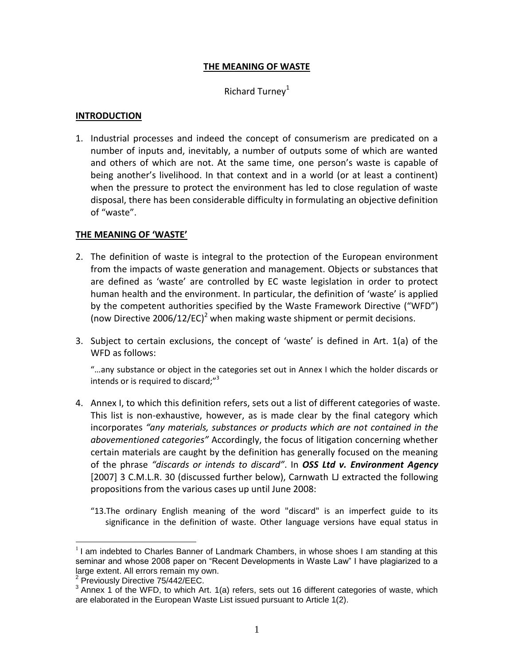## **THE MEANING OF WASTE**

## Richard Turney $1$

#### **INTRODUCTION**

1. Industrial processes and indeed the concept of consumerism are predicated on a number of inputs and, inevitably, a number of outputs some of which are wanted and others of which are not. At the same time, one person's waste is capable of being another's livelihood. In that context and in a world (or at least a continent) when the pressure to protect the environment has led to close regulation of waste disposal, there has been considerable difficulty in formulating an objective definition of "waste".

## **THE MEANING OF 'WASTE'**

- 2. The definition of waste is integral to the protection of the European environment from the impacts of waste generation and management. Objects or substances that are defined as 'waste' are controlled by EC waste legislation in order to protect human health and the environment. In particular, the definition of 'waste' is applied by the competent authorities specified by the Waste Framework Directive ("WFD") (now Directive 2006/12/EC)<sup>2</sup> when making waste shipment or permit decisions.
- 3. Subject to certain exclusions, the concept of 'waste' is defined in Art. 1(a) of the WFD as follows:

"…any substance or object in the categories set out in Annex I which the holder discards or intends or is required to discard;"<sup>3</sup>

- 4. Annex I, to which this definition refers, sets out a list of different categories of waste. This list is non-exhaustive, however, as is made clear by the final category which incorporates *"any materials, substances or products which are not contained in the abovementioned categories"* Accordingly, the focus of litigation concerning whether certain materials are caught by the definition has generally focused on the meaning of the phrase *"discards or intends to discard"*. In *OSS Ltd v. Environment Agency*  [2007] 3 C.M.L.R. 30 (discussed further below), Carnwath LJ extracted the following propositions from the various cases up until June 2008:
	- "13.The ordinary English meaning of the word "discard" is an imperfect guide to its significance in the definition of waste. Other language versions have equal status in

 $1$ I am indebted to Charles Banner of Landmark Chambers, in whose shoes I am standing at this seminar and whose 2008 paper on "Recent Developments in Waste Law" I have plagiarized to a large extent. All errors remain my own.

<sup>&</sup>lt;sup>2</sup> Previously Directive 75/442/EEC.

 $3$  Annex 1 of the WFD, to which Art. 1(a) refers, sets out 16 different categories of waste, which are elaborated in the European Waste List issued pursuant to Article 1(2).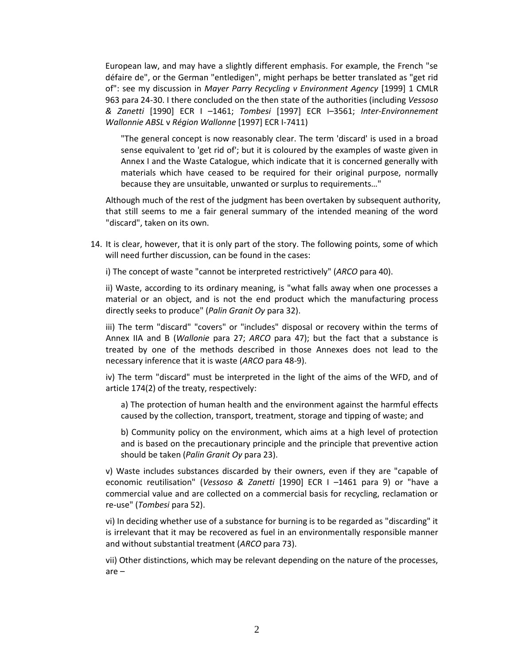European law, and may have a slightly different emphasis. For example, the French "se défaire de", or the German "entledigen", might perhaps be better translated as "get rid of": see my discussion in *Mayer Parry Recycling v Environment Agency* [1999] 1 CMLR 963 para 24-30. I there concluded on the then state of the authorities (including *Vessoso & Zanetti* [1990] ECR I –1461; *Tombesi* [1997] ECR I–3561; *Inter-Environnement Wallonnie ABSL* v *Région Wallonne* [1997] ECR I-7411)

"The general concept is now reasonably clear. The term 'discard' is used in a broad sense equivalent to 'get rid of'; but it is coloured by the examples of waste given in Annex I and the Waste Catalogue, which indicate that it is concerned generally with materials which have ceased to be required for their original purpose, normally because they are unsuitable, unwanted or surplus to requirements…"

Although much of the rest of the judgment has been overtaken by subsequent authority, that still seems to me a fair general summary of the intended meaning of the word "discard", taken on its own.

14. It is clear, however, that it is only part of the story. The following points, some of which will need further discussion, can be found in the cases:

i) The concept of waste "cannot be interpreted restrictively" (*ARCO* para 40).

ii) Waste, according to its ordinary meaning, is "what falls away when one processes a material or an object, and is not the end product which the manufacturing process directly seeks to produce" (*Palin Granit Oy* para 32).

iii) The term "discard" "covers" or "includes" disposal or recovery within the terms of Annex IIA and B (*Wallonie* para 27; *ARCO* para 47); but the fact that a substance is treated by one of the methods described in those Annexes does not lead to the necessary inference that it is waste (*ARCO* para 48-9).

iv) The term "discard" must be interpreted in the light of the aims of the WFD, and of article 174(2) of the treaty, respectively:

a) The protection of human health and the environment against the harmful effects caused by the collection, transport, treatment, storage and tipping of waste; and

b) Community policy on the environment, which aims at a high level of protection and is based on the precautionary principle and the principle that preventive action should be taken (*Palin Granit Oy* para 23).

v) Waste includes substances discarded by their owners, even if they are "capable of economic reutilisation" (*Vessoso & Zanetti* [1990] ECR I –1461 para 9) or "have a commercial value and are collected on a commercial basis for recycling, reclamation or re-use" (*Tombesi* para 52).

vi) In deciding whether use of a substance for burning is to be regarded as "discarding" it is irrelevant that it may be recovered as fuel in an environmentally responsible manner and without substantial treatment (*ARCO* para 73).

vii) Other distinctions, which may be relevant depending on the nature of the processes, are –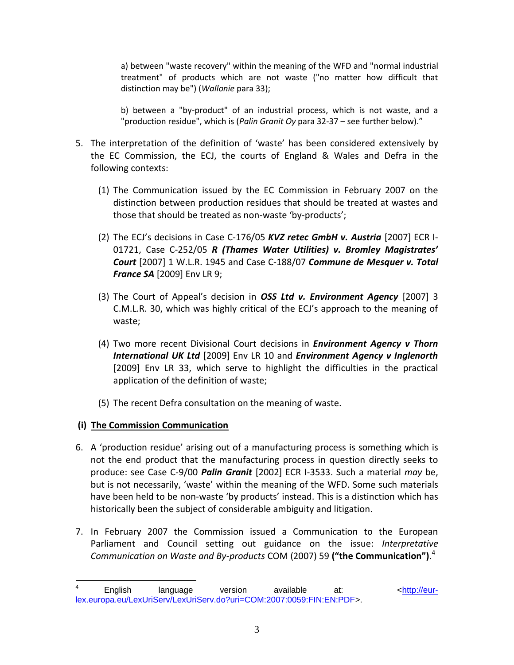a) between "waste recovery" within the meaning of the WFD and "normal industrial treatment" of products which are not waste ("no matter how difficult that distinction may be") (*Wallonie* para 33);

b) between a "by-product" of an industrial process, which is not waste, and a "production residue", which is (*Palin Granit Oy* para 32-37 – see further below)."

- 5. The interpretation of the definition of 'waste' has been considered extensively by the EC Commission, the ECJ, the courts of England & Wales and Defra in the following contexts:
	- (1) The Communication issued by the EC Commission in February 2007 on the distinction between production residues that should be treated at wastes and those that should be treated as non-waste 'by-products';
	- (2) The ECJ's decisions in Case C-176/05 *KVZ retec GmbH v. Austria* [2007] ECR I-01721, Case C-252/05 *R (Thames Water Utilities) v. Bromley Magistrates' Court* [2007] 1 W.L.R. 1945 and Case C-188/07 *Commune de Mesquer v. Total France SA* [2009] Env LR 9;
	- (3) The Court of Appeal's decision in *OSS Ltd v. Environment Agency* [2007] 3 C.M.L.R. 30, which was highly critical of the ECJ's approach to the meaning of waste;
	- (4) Two more recent Divisional Court decisions in *Environment Agency v Thorn International UK Ltd* [2009] Env LR 10 and *Environment Agency v Inglenorth* [2009] Env LR 33, which serve to highlight the difficulties in the practical application of the definition of waste;
	- (5) The recent Defra consultation on the meaning of waste.

# **(i) The Commission Communication**

- 6. A 'production residue' arising out of a manufacturing process is something which is not the end product that the manufacturing process in question directly seeks to produce: see Case C-9/00 *Palin Granit* [2002] ECR I-3533. Such a material *may* be, but is not necessarily, 'waste' within the meaning of the WFD. Some such materials have been held to be non-waste 'by products' instead. This is a distinction which has historically been the subject of considerable ambiguity and litigation.
- 7. In February 2007 the Commission issued a Communication to the European Parliament and Council setting out guidance on the issue: *Interpretative Communication on Waste and By-products* COM (2007) 59 **("the Communication")**. 4

<sup>4</sup> English language version available at: [<http://eur](http://eur-lex.europa.eu/LexUriServ/LexUriServ.do?uri=COM:2007:0059:FIN:EN:PDF)[lex.europa.eu/LexUriServ/LexUriServ.do?uri=COM:2007:0059:FIN:EN:PDF>](http://eur-lex.europa.eu/LexUriServ/LexUriServ.do?uri=COM:2007:0059:FIN:EN:PDF).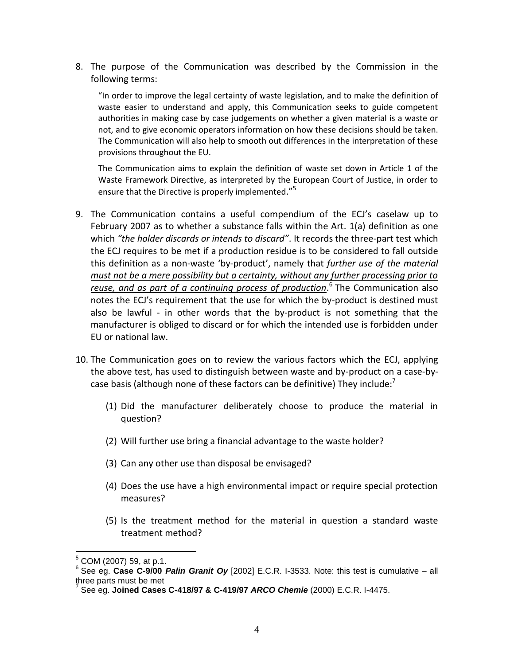8. The purpose of the Communication was described by the Commission in the following terms:

"In order to improve the legal certainty of waste legislation, and to make the definition of waste easier to understand and apply, this Communication seeks to guide competent authorities in making case by case judgements on whether a given material is a waste or not, and to give economic operators information on how these decisions should be taken. The Communication will also help to smooth out differences in the interpretation of these provisions throughout the EU.

The Communication aims to explain the definition of waste set down in Article 1 of the Waste Framework Directive, as interpreted by the European Court of Justice, in order to ensure that the Directive is properly implemented."<sup>5</sup>

- 9. The Communication contains a useful compendium of the ECJ's caselaw up to February 2007 as to whether a substance falls within the Art. 1(a) definition as one which *"the holder discards or intends to discard"*. It records the three-part test which the ECJ requires to be met if a production residue is to be considered to fall outside this definition as a non-waste 'by-product', namely that *further use of the material must not be a mere possibility but a certainty, without any further processing prior to reuse, and as part of a continuing process of production*. 6 The Communication also notes the ECJ's requirement that the use for which the by-product is destined must also be lawful - in other words that the by-product is not something that the manufacturer is obliged to discard or for which the intended use is forbidden under EU or national law.
- 10. The Communication goes on to review the various factors which the ECJ, applying the above test, has used to distinguish between waste and by-product on a case-bycase basis (although none of these factors can be definitive) They include: $'$ 
	- (1) Did the manufacturer deliberately choose to produce the material in question?
	- (2) Will further use bring a financial advantage to the waste holder?
	- (3) Can any other use than disposal be envisaged?
	- (4) Does the use have a high environmental impact or require special protection measures?
	- (5) Is the treatment method for the material in question a standard waste treatment method?

 $5$  COM (2007) 59, at p.1.

<sup>6</sup> See eg. **Case C-9/00** *Palin Granit Oy* [2002] E.C.R. I-3533. Note: this test is cumulative – all three parts must be met 7 See eg. **Joined Cases C-418/97 & C-419/97** *ARCO Chemie* (2000) E.C.R. I-4475.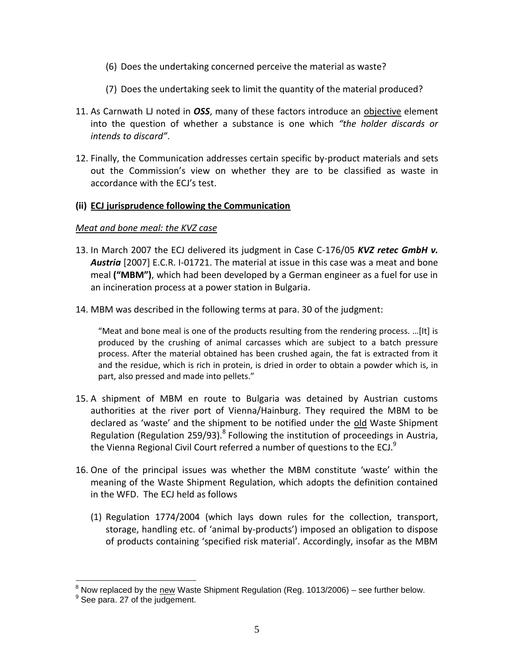- (6) Does the undertaking concerned perceive the material as waste?
- (7) Does the undertaking seek to limit the quantity of the material produced?
- 11. As Carnwath LJ noted in *OSS*, many of these factors introduce an objective element into the question of whether a substance is one which *"the holder discards or intends to discard"*.
- 12. Finally, the Communication addresses certain specific by-product materials and sets out the Commission's view on whether they are to be classified as waste in accordance with the ECJ's test.

## **(ii) ECJ jurisprudence following the Communication**

## *Meat and bone meal: the KVZ case*

- 13. In March 2007 the ECJ delivered its judgment in Case C-176/05 *KVZ retec GmbH v. Austria* [2007] E.C.R. I-01721. The material at issue in this case was a meat and bone meal **("MBM")**, which had been developed by a German engineer as a fuel for use in an incineration process at a power station in Bulgaria.
- 14. MBM was described in the following terms at para. 30 of the judgment:

"Meat and bone meal is one of the products resulting from the rendering process. ...[It] is produced by the crushing of animal carcasses which are subject to a batch pressure process. After the material obtained has been crushed again, the fat is extracted from it and the residue, which is rich in protein, is dried in order to obtain a powder which is, in part, also pressed and made into pellets."

- 15. A shipment of MBM en route to Bulgaria was detained by Austrian customs authorities at the river port of Vienna/Hainburg. They required the MBM to be declared as 'waste' and the shipment to be notified under the old Waste Shipment Regulation (Regulation 259/93).<sup>8</sup> Following the institution of proceedings in Austria, the Vienna Regional Civil Court referred a number of questions to the ECJ. $9$
- 16. One of the principal issues was whether the MBM constitute 'waste' within the meaning of the Waste Shipment Regulation, which adopts the definition contained in the WFD. The ECJ held as follows
	- (1) Regulation 1774/2004 (which lays down rules for the collection, transport, storage, handling etc. of 'animal by-products') imposed an obligation to dispose of products containing 'specified risk material'. Accordingly, insofar as the MBM

 $^8$  Now replaced by the new Waste Shipment Regulation (Reg. 1013/2006) – see further below.

<sup>&</sup>lt;sup>9</sup> See para. 27 of the judgement.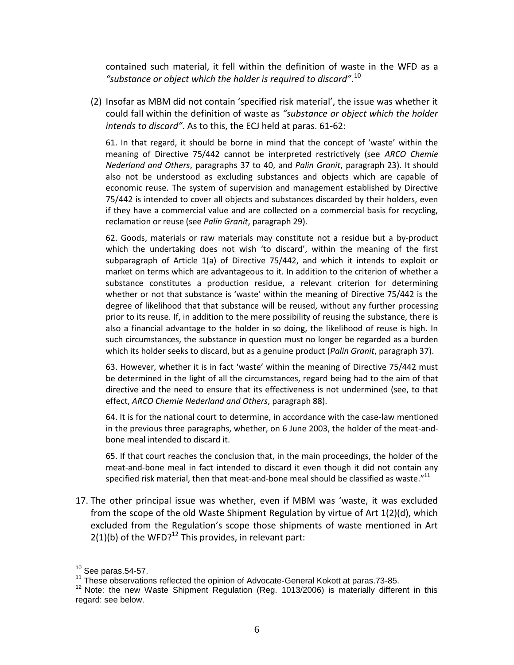contained such material, it fell within the definition of waste in the WFD as a *"substance or object which the holder is required to discard"*. 10

(2) Insofar as MBM did not contain 'specified risk material', the issue was whether it could fall within the definition of waste as *"substance or object which the holder intends to discard"*. As to this, the ECJ held at paras. 61-62:

61. In that regard, it should be borne in mind that the concept of 'waste' within the meaning of Directive 75/442 cannot be interpreted restrictively (see *ARCO Chemie Nederland and Others*, paragraphs 37 to 40, and *Palin Granit*, paragraph 23). It should also not be understood as excluding substances and objects which are capable of economic reuse. The system of supervision and management established by Directive 75/442 is intended to cover all objects and substances discarded by their holders, even if they have a commercial value and are collected on a commercial basis for recycling, reclamation or reuse (see *Palin Granit*, paragraph 29).

62. Goods, materials or raw materials may constitute not a residue but a by-product which the undertaking does not wish 'to discard', within the meaning of the first subparagraph of Article 1(a) of Directive 75/442, and which it intends to exploit or market on terms which are advantageous to it. In addition to the criterion of whether a substance constitutes a production residue, a relevant criterion for determining whether or not that substance is 'waste' within the meaning of Directive 75/442 is the degree of likelihood that that substance will be reused, without any further processing prior to its reuse. If, in addition to the mere possibility of reusing the substance, there is also a financial advantage to the holder in so doing, the likelihood of reuse is high. In such circumstances, the substance in question must no longer be regarded as a burden which its holder seeks to discard, but as a genuine product (*Palin Granit*, paragraph 37).

63. However, whether it is in fact 'waste' within the meaning of Directive 75/442 must be determined in the light of all the circumstances, regard being had to the aim of that directive and the need to ensure that its effectiveness is not undermined (see, to that effect, *ARCO Chemie Nederland and Others*, paragraph 88).

64. It is for the national court to determine, in accordance with the case-law mentioned in the previous three paragraphs, whether, on 6 June 2003, the holder of the meat-andbone meal intended to discard it.

65. If that court reaches the conclusion that, in the main proceedings, the holder of the meat-and-bone meal in fact intended to discard it even though it did not contain any specified risk material, then that meat-and-bone meal should be classified as waste."<sup>11</sup>

17. The other principal issue was whether, even if MBM was 'waste, it was excluded from the scope of the old Waste Shipment Regulation by virtue of Art 1(2)(d), which excluded from the Regulation's scope those shipments of waste mentioned in Art  $2(1)(b)$  of the WFD?<sup>12</sup> This provides, in relevant part:

 $10$  See paras.54-57.

 $11$  These observations reflected the opinion of Advocate-General Kokott at paras.73-85.

<sup>&</sup>lt;sup>12</sup> Note: the new Waste Shipment Regulation (Reg. 1013/2006) is materially different in this regard: see below.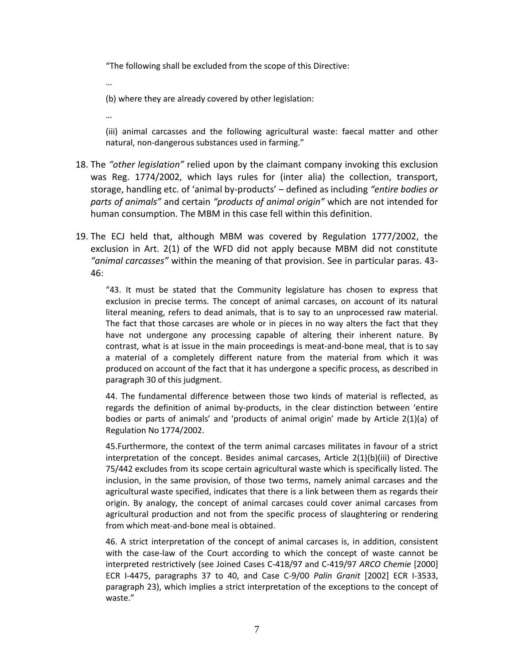"The following shall be excluded from the scope of this Directive:

…

(b) where they are already covered by other legislation:

…

(iii) animal carcasses and the following agricultural waste: faecal matter and other natural, non-dangerous substances used in farming."

- 18. The *"other legislation"* relied upon by the claimant company invoking this exclusion was Reg. 1774/2002, which lays rules for (inter alia) the collection, transport, storage, handling etc. of 'animal by-products' – defined as including *"entire bodies or parts of animals"* and certain *"products of animal origin"* which are not intended for human consumption. The MBM in this case fell within this definition.
- 19. The ECJ held that, although MBM was covered by Regulation 1777/2002, the exclusion in Art. 2(1) of the WFD did not apply because MBM did not constitute *"animal carcasses"* within the meaning of that provision. See in particular paras. 43- 46:

"43. It must be stated that the Community legislature has chosen to express that exclusion in precise terms. The concept of animal carcases, on account of its natural literal meaning, refers to dead animals, that is to say to an unprocessed raw material. The fact that those carcases are whole or in pieces in no way alters the fact that they have not undergone any processing capable of altering their inherent nature. By contrast, what is at issue in the main proceedings is meat-and-bone meal, that is to say a material of a completely different nature from the material from which it was produced on account of the fact that it has undergone a specific process, as described in paragraph 30 of this judgment.

44. The fundamental difference between those two kinds of material is reflected, as regards the definition of animal by-products, in the clear distinction between 'entire bodies or parts of animals' and 'products of animal origin' made by Article 2(1)(a) of Regulation No 1774/2002.

45.Furthermore, the context of the term animal carcases militates in favour of a strict interpretation of the concept. Besides animal carcases, Article 2(1)(b)(iii) of Directive 75/442 excludes from its scope certain agricultural waste which is specifically listed. The inclusion, in the same provision, of those two terms, namely animal carcases and the agricultural waste specified, indicates that there is a link between them as regards their origin. By analogy, the concept of animal carcases could cover animal carcases from agricultural production and not from the specific process of slaughtering or rendering from which meat-and-bone meal is obtained.

46. A strict interpretation of the concept of animal carcases is, in addition, consistent with the case-law of the Court according to which the concept of waste cannot be interpreted restrictively (see Joined Cases C-418/97 and C-419/97 *ARCO Chemie* [2000] ECR I-4475, paragraphs 37 to 40, and Case C-9/00 *Palin Granit* [2002] ECR I-3533, paragraph 23), which implies a strict interpretation of the exceptions to the concept of waste."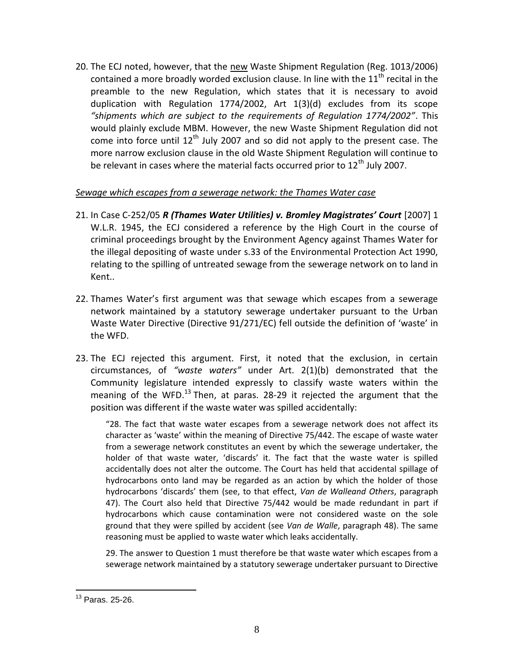20. The ECJ noted, however, that the new Waste Shipment Regulation (Reg. 1013/2006) contained a more broadly worded exclusion clause. In line with the  $11<sup>th</sup>$  recital in the preamble to the new Regulation, which states that it is necessary to avoid duplication with Regulation 1774/2002, Art 1(3)(d) excludes from its scope *"shipments which are subject to the requirements of Regulation 1774/2002"*. This would plainly exclude MBM. However, the new Waste Shipment Regulation did not come into force until  $12^{th}$  July 2007 and so did not apply to the present case. The more narrow exclusion clause in the old Waste Shipment Regulation will continue to be relevant in cases where the material facts occurred prior to  $12<sup>th</sup>$  July 2007.

## *Sewage which escapes from a sewerage network: the Thames Water case*

- 21. In Case C-252/05 *R (Thames Water Utilities) v. Bromley Magistrates' Court* [2007] 1 W.L.R. 1945, the ECJ considered a reference by the High Court in the course of criminal proceedings brought by the Environment Agency against Thames Water for the illegal depositing of waste under s.33 of the Environmental Protection Act 1990, relating to the spilling of untreated sewage from the sewerage network on to land in Kent..
- 22. Thames Water's first argument was that sewage which escapes from a sewerage network maintained by a statutory sewerage undertaker pursuant to the Urban Waste Water Directive (Directive 91/271/EC) fell outside the definition of 'waste' in the WFD.
- 23. The ECJ rejected this argument. First, it noted that the exclusion, in certain circumstances, of *"waste waters"* under Art. 2(1)(b) demonstrated that the Community legislature intended expressly to classify waste waters within the meaning of the WFD.<sup>13</sup> Then, at paras. 28-29 it rejected the argument that the position was different if the waste water was spilled accidentally:

"28. The fact that waste water escapes from a sewerage network does not affect its character as 'waste' within the meaning of Directive 75/442. The escape of waste water from a sewerage network constitutes an event by which the sewerage undertaker, the holder of that waste water, 'discards' it. The fact that the waste water is spilled accidentally does not alter the outcome. The Court has held that accidental spillage of hydrocarbons onto land may be regarded as an action by which the holder of those hydrocarbons 'discards' them (see, to that effect, *Van de Walleand Others*, paragraph 47). The Court also held that Directive 75/442 would be made redundant in part if hydrocarbons which cause contamination were not considered waste on the sole ground that they were spilled by accident (see *Van de Walle*, paragraph 48). The same reasoning must be applied to waste water which leaks accidentally.

29. The answer to Question 1 must therefore be that waste water which escapes from a sewerage network maintained by a statutory sewerage undertaker pursuant to Directive

 $\overline{a}$ <sup>13</sup> Paras. 25-26.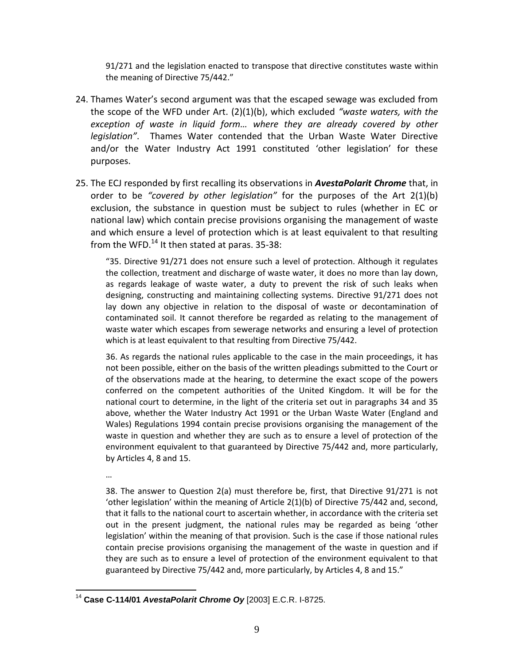91/271 and the legislation enacted to transpose that directive constitutes waste within the meaning of Directive 75/442."

- 24. Thames Water's second argument was that the escaped sewage was excluded from the scope of the WFD under Art. (2)(1)(b), which excluded *"waste waters, with the exception of waste in liquid form… where they are already covered by other legislation"*. Thames Water contended that the Urban Waste Water Directive and/or the Water Industry Act 1991 constituted 'other legislation' for these purposes.
- 25. The ECJ responded by first recalling its observations in *AvestaPolarit Chrome* that, in order to be *"covered by other legislation"* for the purposes of the Art 2(1)(b) exclusion, the substance in question must be subject to rules (whether in EC or national law) which contain precise provisions organising the management of waste and which ensure a level of protection which is at least equivalent to that resulting from the WFD. $^{14}$  It then stated at paras. 35-38:

"35. Directive 91/271 does not ensure such a level of protection. Although it regulates the collection, treatment and discharge of waste water, it does no more than lay down, as regards leakage of waste water, a duty to prevent the risk of such leaks when designing, constructing and maintaining collecting systems. Directive 91/271 does not lay down any objective in relation to the disposal of waste or decontamination of contaminated soil. It cannot therefore be regarded as relating to the management of waste water which escapes from sewerage networks and ensuring a level of protection which is at least equivalent to that resulting from Directive 75/442.

36. As regards the national rules applicable to the case in the main proceedings, it has not been possible, either on the basis of the written pleadings submitted to the Court or of the observations made at the hearing, to determine the exact scope of the powers conferred on the competent authorities of the United Kingdom. It will be for the national court to determine, in the light of the criteria set out in paragraphs 34 and 35 above, whether the Water Industry Act 1991 or the Urban Waste Water (England and Wales) Regulations 1994 contain precise provisions organising the management of the waste in question and whether they are such as to ensure a level of protection of the environment equivalent to that guaranteed by Directive 75/442 and, more particularly, by Articles 4, 8 and 15.

…

38. The answer to Question 2(a) must therefore be, first, that Directive 91/271 is not 'other legislation' within the meaning of Article 2(1)(b) of Directive 75/442 and, second, that it falls to the national court to ascertain whether, in accordance with the criteria set out in the present judgment, the national rules may be regarded as being 'other legislation' within the meaning of that provision. Such is the case if those national rules contain precise provisions organising the management of the waste in question and if they are such as to ensure a level of protection of the environment equivalent to that guaranteed by Directive 75/442 and, more particularly, by Articles 4, 8 and 15."

 $\overline{a}$ <sup>14</sup> **Case C-114/01** *AvestaPolarit Chrome Oy* [2003] E.C.R. I-8725.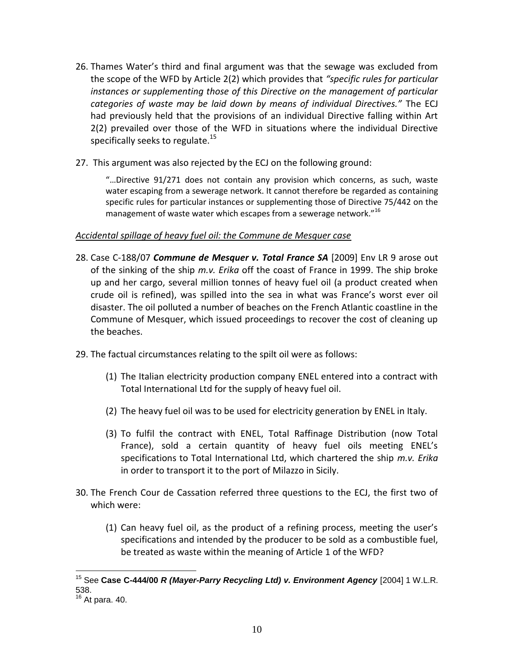- 26. Thames Water's third and final argument was that the sewage was excluded from the scope of the WFD by Article 2(2) which provides that *"specific rules for particular instances or supplementing those of this Directive on the management of particular categories of waste may be laid down by means of individual Directives."* The ECJ had previously held that the provisions of an individual Directive falling within Art 2(2) prevailed over those of the WFD in situations where the individual Directive specifically seeks to regulate. $^{15}$
- 27. This argument was also rejected by the ECJ on the following ground:

"…Directive 91/271 does not contain any provision which concerns, as such, waste water escaping from a sewerage network. It cannot therefore be regarded as containing specific rules for particular instances or supplementing those of Directive 75/442 on the management of waste water which escapes from a sewerage network."<sup>16</sup>

## *Accidental spillage of heavy fuel oil: the Commune de Mesquer case*

- 28. Case C-188/07 *Commune de Mesquer v. Total France SA* [2009] Env LR 9 arose out of the sinking of the ship *m.v. Erika* off the coast of France in 1999. The ship broke up and her cargo, several million tonnes of heavy fuel oil (a product created when crude oil is refined), was spilled into the sea in what was France's worst ever oil disaster. The oil polluted a number of beaches on the French Atlantic coastline in the Commune of Mesquer, which issued proceedings to recover the cost of cleaning up the beaches.
- 29. The factual circumstances relating to the spilt oil were as follows:
	- (1) The Italian electricity production company ENEL entered into a contract with Total International Ltd for the supply of heavy fuel oil.
	- (2) The heavy fuel oil was to be used for electricity generation by ENEL in Italy.
	- (3) To fulfil the contract with ENEL, Total Raffinage Distribution (now Total France), sold a certain quantity of heavy fuel oils meeting ENEL's specifications to Total International Ltd, which chartered the ship *m.v. Erika* in order to transport it to the port of Milazzo in Sicily.
- 30. The French Cour de Cassation referred three questions to the ECJ, the first two of which were:
	- (1) Can heavy fuel oil, as the product of a refining process, meeting the user's specifications and intended by the producer to be sold as a combustible fuel, be treated as waste within the meaning of Article 1 of the WFD?

 $\overline{a}$ <sup>15</sup> See **Case C-444/00** *R (Mayer-Parry Recycling Ltd) v. Environment Agency* [2004] 1 W.L.R. 538.

 $^6$  At para. 40.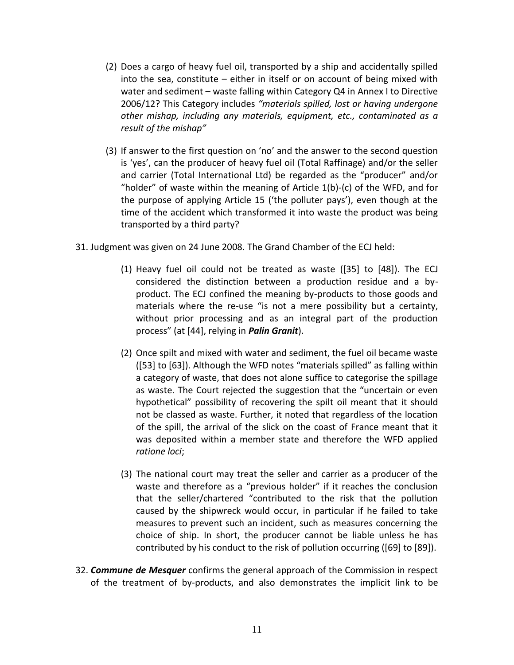- (2) Does a cargo of heavy fuel oil, transported by a ship and accidentally spilled into the sea, constitute – either in itself or on account of being mixed with water and sediment – waste falling within Category Q4 in Annex I to Directive 2006/12? This Category includes *"materials spilled, lost or having undergone other mishap, including any materials, equipment, etc., contaminated as a result of the mishap"*
- (3) If answer to the first question on 'no' and the answer to the second question is 'yes', can the producer of heavy fuel oil (Total Raffinage) and/or the seller and carrier (Total International Ltd) be regarded as the "producer" and/or "holder" of waste within the meaning of Article  $1(b)$ -(c) of the WFD, and for the purpose of applying Article 15 ('the polluter pays'), even though at the time of the accident which transformed it into waste the product was being transported by a third party?
- 31. Judgment was given on 24 June 2008. The Grand Chamber of the ECJ held:
	- (1) Heavy fuel oil could not be treated as waste ([35] to [48]). The ECJ considered the distinction between a production residue and a byproduct. The ECJ confined the meaning by-products to those goods and materials where the re-use "is not a mere possibility but a certainty, without prior processing and as an integral part of the production process" (at [44], relying in *Palin Granit*).
	- (2) Once spilt and mixed with water and sediment, the fuel oil became waste ([53] to [63]). Although the WFD notes "materials spilled" as falling within a category of waste, that does not alone suffice to categorise the spillage as waste. The Court rejected the suggestion that the "uncertain or even hypothetical" possibility of recovering the spilt oil meant that it should not be classed as waste. Further, it noted that regardless of the location of the spill, the arrival of the slick on the coast of France meant that it was deposited within a member state and therefore the WFD applied *ratione loci*;
	- (3) The national court may treat the seller and carrier as a producer of the waste and therefore as a "previous holder" if it reaches the conclusion that the seller/chartered "contributed to the risk that the pollution caused by the shipwreck would occur, in particular if he failed to take measures to prevent such an incident, such as measures concerning the choice of ship. In short, the producer cannot be liable unless he has contributed by his conduct to the risk of pollution occurring ([69] to [89]).
- 32. *Commune de Mesquer* confirms the general approach of the Commission in respect of the treatment of by-products, and also demonstrates the implicit link to be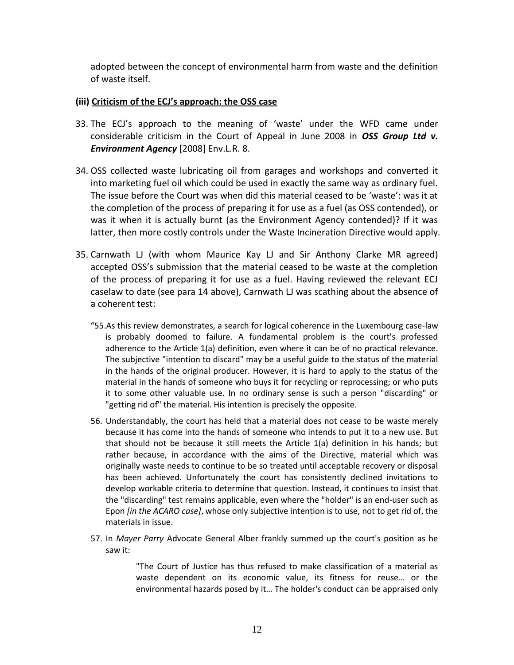adopted between the concept of environmental harm from waste and the definition of waste itself.

#### **(iii) Criticism of the ECJ's approach: the OSS case**

- 33. The ECJ's approach to the meaning of 'waste' under the WFD came under considerable criticism in the Court of Appeal in June 2008 in *OSS Group Ltd v. Environment Agency* [2008] Env.L.R. 8.
- 34. OSS collected waste lubricating oil from garages and workshops and converted it into marketing fuel oil which could be used in exactly the same way as ordinary fuel. The issue before the Court was when did this material ceased to be 'waste': was it at the completion of the process of preparing it for use as a fuel (as OSS contended), or was it when it is actually burnt (as the Environment Agency contended)? If it was latter, then more costly controls under the Waste Incineration Directive would apply.
- 35. Carnwath LJ (with whom Maurice Kay LJ and Sir Anthony Clarke MR agreed) accepted OSS's submission that the material ceased to be waste at the completion of the process of preparing it for use as a fuel. Having reviewed the relevant ECJ caselaw to date (see para 14 above), Carnwath LJ was scathing about the absence of a coherent test:
	- "55.As this review demonstrates, a search for logical coherence in the Luxembourg case-law is probably doomed to failure. A fundamental problem is the court's professed adherence to the Article 1(a) definition, even where it can be of no practical relevance. The subjective "intention to discard" may be a useful guide to the status of the material in the hands of the original producer. However, it is hard to apply to the status of the material in the hands of someone who buys it for recycling or reprocessing; or who puts it to some other valuable use. In no ordinary sense is such a person "discarding" or "getting rid of" the material. His intention is precisely the opposite.
	- 56. Understandably, the court has held that a material does not cease to be waste merely because it has come into the hands of someone who intends to put it to a new use. But that should not be because it still meets the Article 1(a) definition in his hands; but rather because, in accordance with the aims of the Directive, material which was originally waste needs to continue to be so treated until acceptable recovery or disposal has been achieved. Unfortunately the court has consistently declined invitations to develop workable criteria to determine that question. Instead, it continues to insist that the "discarding" test remains applicable, even where the "holder" is an end-user such as Epon *[in the ACARO case]*, whose only subjective intention is to use, not to get rid of, the materials in issue.
	- 57. In *Mayer Parry* Advocate General Alber frankly summed up the court's position as he saw it:

"The Court of Justice has thus refused to make classification of a material as waste dependent on its economic value, its fitness for reuse… or the environmental hazards posed by it… The holder's conduct can be appraised only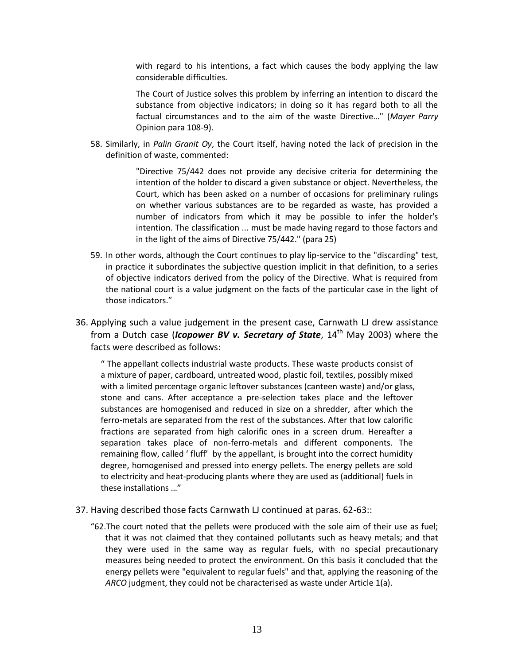with regard to his intentions, a fact which causes the body applying the law considerable difficulties.

The Court of Justice solves this problem by inferring an intention to discard the substance from objective indicators; in doing so it has regard both to all the factual circumstances and to the aim of the waste Directive…" (*Mayer Parry* Opinion para 108-9).

58. Similarly, in *Palin Granit Oy*, the Court itself, having noted the lack of precision in the definition of waste, commented:

> "Directive 75/442 does not provide any decisive criteria for determining the intention of the holder to discard a given substance or object. Nevertheless, the Court, which has been asked on a number of occasions for preliminary rulings on whether various substances are to be regarded as waste, has provided a number of indicators from which it may be possible to infer the holder's intention. The classification ... must be made having regard to those factors and in the light of the aims of Directive 75/442." (para 25)

- 59. In other words, although the Court continues to play lip-service to the "discarding" test, in practice it subordinates the subjective question implicit in that definition, to a series of objective indicators derived from the policy of the Directive. What is required from the national court is a value judgment on the facts of the particular case in the light of those indicators."
- 36. Applying such a value judgement in the present case, Carnwath LJ drew assistance from a Dutch case (*Icopower BV v. Secretary of State*, 14<sup>th</sup> May 2003) where the facts were described as follows:

" The appellant collects industrial waste products. These waste products consist of a mixture of paper, cardboard, untreated wood, plastic foil, textiles, possibly mixed with a limited percentage organic leftover substances (canteen waste) and/or glass, stone and cans. After acceptance a pre-selection takes place and the leftover substances are homogenised and reduced in size on a shredder, after which the ferro-metals are separated from the rest of the substances. After that low calorific fractions are separated from high calorific ones in a screen drum. Hereafter a separation takes place of non-ferro-metals and different components. The remaining flow, called ' fluff' by the appellant, is brought into the correct humidity degree, homogenised and pressed into energy pellets. The energy pellets are sold to electricity and heat-producing plants where they are used as (additional) fuels in these installations …"

- 37. Having described those facts Carnwath LJ continued at paras. 62-63::
	- "62.The court noted that the pellets were produced with the sole aim of their use as fuel; that it was not claimed that they contained pollutants such as heavy metals; and that they were used in the same way as regular fuels, with no special precautionary measures being needed to protect the environment. On this basis it concluded that the energy pellets were "equivalent to regular fuels" and that, applying the reasoning of the *ARCO* judgment, they could not be characterised as waste under Article 1(a).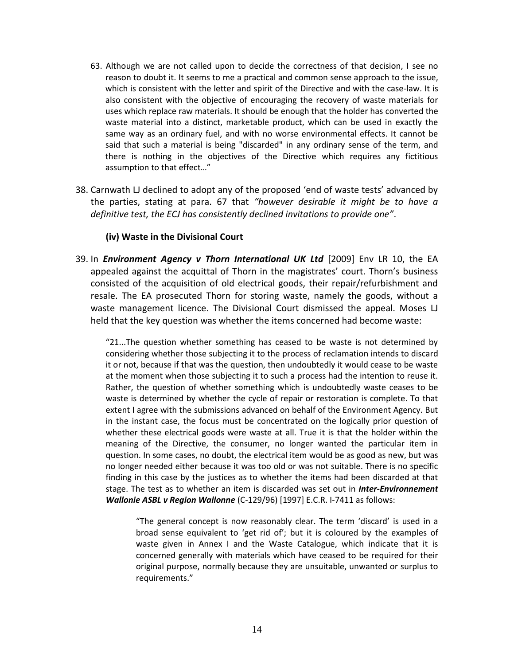- 63. Although we are not called upon to decide the correctness of that decision, I see no reason to doubt it. It seems to me a practical and common sense approach to the issue, which is consistent with the letter and spirit of the Directive and with the case-law. It is also consistent with the objective of encouraging the recovery of waste materials for uses which replace raw materials. It should be enough that the holder has converted the waste material into a distinct, marketable product, which can be used in exactly the same way as an ordinary fuel, and with no worse environmental effects. It cannot be said that such a material is being "discarded" in any ordinary sense of the term, and there is nothing in the objectives of the Directive which requires any fictitious assumption to that effect…"
- 38. Carnwath LJ declined to adopt any of the proposed 'end of waste tests' advanced by the parties, stating at para. 67 that *"however desirable it might be to have a definitive test, the ECJ has consistently declined invitations to provide one"*.

## **(iv) Waste in the Divisional Court**

39. In *Environment Agency v Thorn International UK Ltd* [2009] Env LR 10, the EA appealed against the acquittal of Thorn in the magistrates' court. Thorn's business consisted of the acquisition of old electrical goods, their repair/refurbishment and resale. The EA prosecuted Thorn for storing waste, namely the goods, without a waste management licence. The Divisional Court dismissed the appeal. Moses LJ held that the key question was whether the items concerned had become waste:

"21...The question whether something has ceased to be waste is not determined by considering whether those subjecting it to the process of reclamation intends to discard it or not, because if that was the question, then undoubtedly it would cease to be waste at the moment when those subjecting it to such a process had the intention to reuse it. Rather, the question of whether something which is undoubtedly waste ceases to be waste is determined by whether the cycle of repair or restoration is complete. To that extent I agree with the submissions advanced on behalf of the Environment Agency. But in the instant case, the focus must be concentrated on the logically prior question of whether these electrical goods were waste at all. True it is that the holder within the meaning of the Directive, the consumer, no longer wanted the particular item in question. In some cases, no doubt, the electrical item would be as good as new, but was no longer needed either because it was too old or was not suitable. There is no specific finding in this case by the justices as to whether the items had been discarded at that stage. The test as to whether an item is discarded was set out in *Inter-Environnement Wallonie ASBL v Region Wallonne* (C-129/96) [1997] E.C.R. I-7411 as follows:

"The general concept is now reasonably clear. The term 'discard' is used in a broad sense equivalent to 'get rid of'; but it is coloured by the examples of waste given in Annex I and the Waste Catalogue, which indicate that it is concerned generally with materials which have ceased to be required for their original purpose, normally because they are unsuitable, unwanted or surplus to requirements."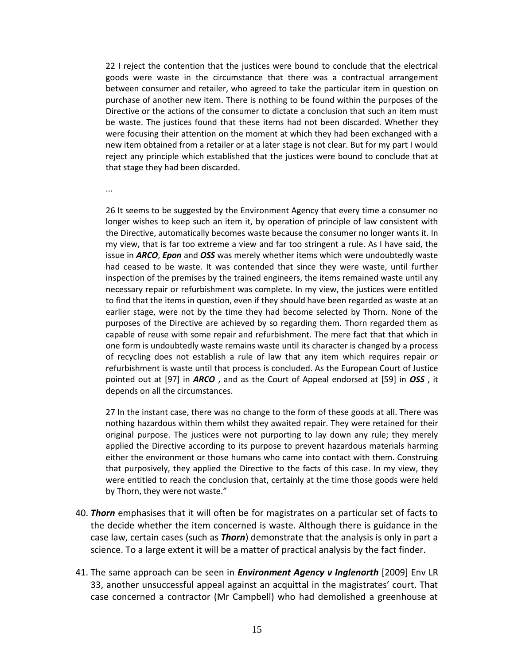22 I reject the contention that the justices were bound to conclude that the electrical goods were waste in the circumstance that there was a contractual arrangement between consumer and retailer, who agreed to take the particular item in question on purchase of another new item. There is nothing to be found within the purposes of the Directive or the actions of the consumer to dictate a conclusion that such an item must be waste. The justices found that these items had not been discarded. Whether they were focusing their attention on the moment at which they had been exchanged with a new item obtained from a retailer or at a later stage is not clear. But for my part I would reject any principle which established that the justices were bound to conclude that at that stage they had been discarded.

...

26 It seems to be suggested by the Environment Agency that every time a consumer no longer wishes to keep such an item it, by operation of principle of law consistent with the Directive, automatically becomes waste because the consumer no longer wants it. In my view, that is far too extreme a view and far too stringent a rule. As I have said, the issue in *ARCO*, *Epon* and *OSS* was merely whether items which were undoubtedly waste had ceased to be waste. It was contended that since they were waste, until further inspection of the premises by the trained engineers, the items remained waste until any necessary repair or refurbishment was complete. In my view, the justices were entitled to find that the items in question, even if they should have been regarded as waste at an earlier stage, were not by the time they had become selected by Thorn. None of the purposes of the Directive are achieved by so regarding them. Thorn regarded them as capable of reuse with some repair and refurbishment. The mere fact that that which in one form is undoubtedly waste remains waste until its character is changed by a process of recycling does not establish a rule of law that any item which requires repair or refurbishment is waste until that process is concluded. As the European Court of Justice pointed out at [97] in *ARCO* , and as the Court of Appeal endorsed at [59] in *OSS* , it depends on all the circumstances.

27 In the instant case, there was no change to the form of these goods at all. There was nothing hazardous within them whilst they awaited repair. They were retained for their original purpose. The justices were not purporting to lay down any rule; they merely applied the Directive according to its purpose to prevent hazardous materials harming either the environment or those humans who came into contact with them. Construing that purposively, they applied the Directive to the facts of this case. In my view, they were entitled to reach the conclusion that, certainly at the time those goods were held by Thorn, they were not waste."

- 40. *Thorn* emphasises that it will often be for magistrates on a particular set of facts to the decide whether the item concerned is waste. Although there is guidance in the case law, certain cases (such as *Thorn*) demonstrate that the analysis is only in part a science. To a large extent it will be a matter of practical analysis by the fact finder.
- 41. The same approach can be seen in *Environment Agency v Inglenorth* [2009] Env LR 33, another unsuccessful appeal against an acquittal in the magistrates' court. That case concerned a contractor (Mr Campbell) who had demolished a greenhouse at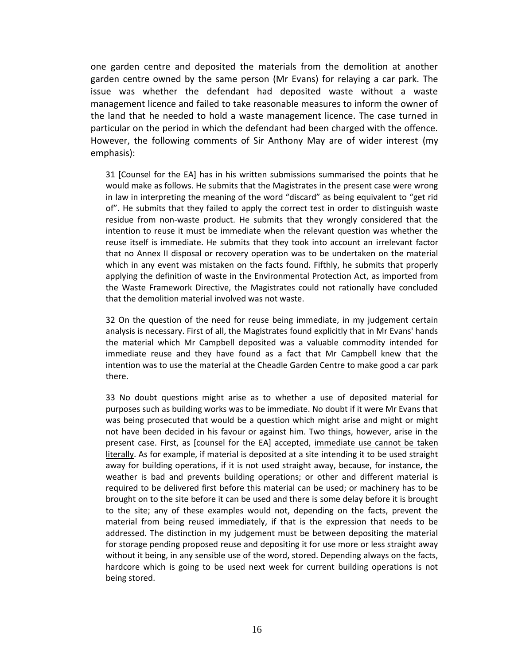one garden centre and deposited the materials from the demolition at another garden centre owned by the same person (Mr Evans) for relaying a car park. The issue was whether the defendant had deposited waste without a waste management licence and failed to take reasonable measures to inform the owner of the land that he needed to hold a waste management licence. The case turned in particular on the period in which the defendant had been charged with the offence. However, the following comments of Sir Anthony May are of wider interest (my emphasis):

31 [Counsel for the EA] has in his written submissions summarised the points that he would make as follows. He submits that the Magistrates in the present case were wrong in law in interpreting the meaning of the word "discard" as being equivalent to "get rid of". He submits that they failed to apply the correct test in order to distinguish waste residue from non-waste product. He submits that they wrongly considered that the intention to reuse it must be immediate when the relevant question was whether the reuse itself is immediate. He submits that they took into account an irrelevant factor that no Annex II disposal or recovery operation was to be undertaken on the material which in any event was mistaken on the facts found. Fifthly, he submits that properly applying the definition of waste in the Environmental Protection Act, as imported from the Waste Framework Directive, the Magistrates could not rationally have concluded that the demolition material involved was not waste.

32 On the question of the need for reuse being immediate, in my judgement certain analysis is necessary. First of all, the Magistrates found explicitly that in Mr Evans' hands the material which Mr Campbell deposited was a valuable commodity intended for immediate reuse and they have found as a fact that Mr Campbell knew that the intention was to use the material at the Cheadle Garden Centre to make good a car park there.

33 No doubt questions might arise as to whether a use of deposited material for purposes such as building works was to be immediate. No doubt if it were Mr Evans that was being prosecuted that would be a question which might arise and might or might not have been decided in his favour or against him. Two things, however, arise in the present case. First, as [counsel for the EA] accepted, immediate use cannot be taken literally. As for example, if material is deposited at a site intending it to be used straight away for building operations, if it is not used straight away, because, for instance, the weather is bad and prevents building operations; or other and different material is required to be delivered first before this material can be used; or machinery has to be brought on to the site before it can be used and there is some delay before it is brought to the site; any of these examples would not, depending on the facts, prevent the material from being reused immediately, if that is the expression that needs to be addressed. The distinction in my judgement must be between depositing the material for storage pending proposed reuse and depositing it for use more or less straight away without it being, in any sensible use of the word, stored. Depending always on the facts, hardcore which is going to be used next week for current building operations is not being stored.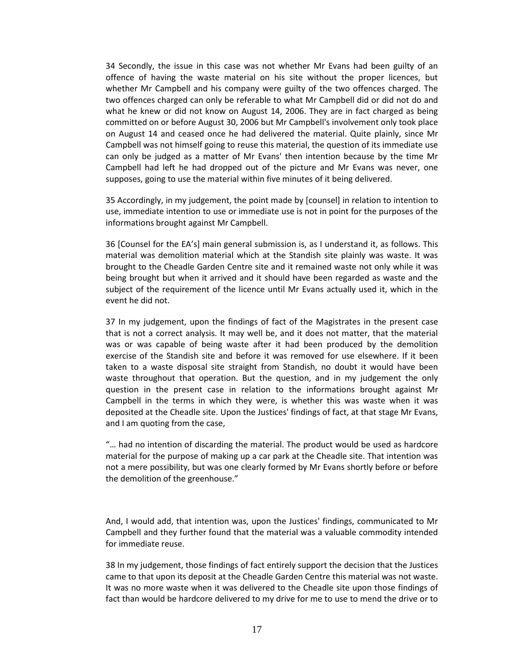34 Secondly, the issue in this case was not whether Mr Evans had been guilty of an offence of having the waste material on his site without the proper licences, but whether Mr Campbell and his company were guilty of the two offences charged. The two offences charged can only be referable to what Mr Campbell did or did not do and what he knew or did not know on August 14, 2006. They are in fact charged as being committed on or before August 30, 2006 but Mr Campbell's involvement only took place on August 14 and ceased once he had delivered the material. Quite plainly, since Mr Campbell was not himself going to reuse this material, the question of its immediate use can only be judged as a matter of Mr Evans' then intention because by the time Mr Campbell had left he had dropped out of the picture and Mr Evans was never, one supposes, going to use the material within five minutes of it being delivered.

35 Accordingly, in my judgement, the point made by [counsel] in relation to intention to use, immediate intention to use or immediate use is not in point for the purposes of the informations brought against Mr Campbell.

36 [Counsel for the EA's] main general submission is, as I understand it, as follows. This material was demolition material which at the Standish site plainly was waste. It was brought to the Cheadle Garden Centre site and it remained waste not only while it was being brought but when it arrived and it should have been regarded as waste and the subject of the requirement of the licence until Mr Evans actually used it, which in the event he did not.

37 In my judgement, upon the findings of fact of the Magistrates in the present case that is not a correct analysis. It may well be, and it does not matter, that the material was or was capable of being waste after it had been produced by the demolition exercise of the Standish site and before it was removed for use elsewhere. If it been taken to a waste disposal site straight from Standish, no doubt it would have been waste throughout that operation. But the question, and in my judgement the only question in the present case in relation to the informations brought against Mr Campbell in the terms in which they were, is whether this was waste when it was deposited at the Cheadle site. Upon the Justices' findings of fact, at that stage Mr Evans, and I am quoting from the case,

"… had no intention of discarding the material. The product would be used as hardcore material for the purpose of making up a car park at the Cheadle site. That intention was not a mere possibility, but was one clearly formed by Mr Evans shortly before or before the demolition of the greenhouse."

And, I would add, that intention was, upon the Justices' findings, communicated to Mr Campbell and they further found that the material was a valuable commodity intended for immediate reuse.

38 In my judgement, those findings of fact entirely support the decision that the Justices came to that upon its deposit at the Cheadle Garden Centre this material was not waste. It was no more waste when it was delivered to the Cheadle site upon those findings of fact than would be hardcore delivered to my drive for me to use to mend the drive or to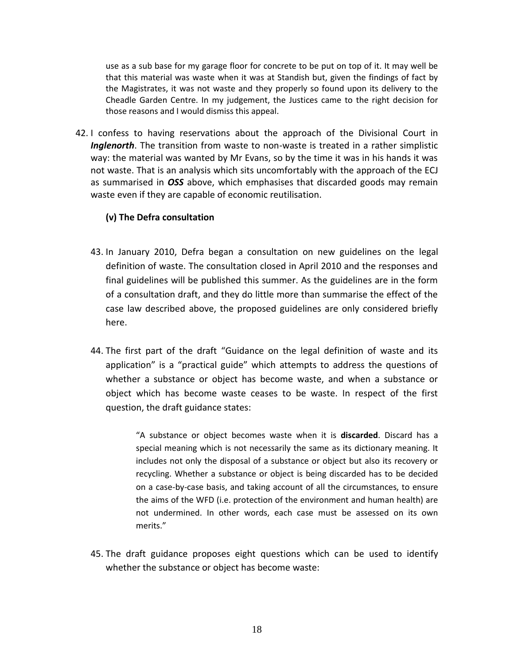use as a sub base for my garage floor for concrete to be put on top of it. It may well be that this material was waste when it was at Standish but, given the findings of fact by the Magistrates, it was not waste and they properly so found upon its delivery to the Cheadle Garden Centre. In my judgement, the Justices came to the right decision for those reasons and I would dismiss this appeal.

42. I confess to having reservations about the approach of the Divisional Court in *Inglenorth*. The transition from waste to non-waste is treated in a rather simplistic way: the material was wanted by Mr Evans, so by the time it was in his hands it was not waste. That is an analysis which sits uncomfortably with the approach of the ECJ as summarised in *OSS* above, which emphasises that discarded goods may remain waste even if they are capable of economic reutilisation.

# **(v) The Defra consultation**

- 43. In January 2010, Defra began a consultation on new guidelines on the legal definition of waste. The consultation closed in April 2010 and the responses and final guidelines will be published this summer. As the guidelines are in the form of a consultation draft, and they do little more than summarise the effect of the case law described above, the proposed guidelines are only considered briefly here.
- 44. The first part of the draft "Guidance on the legal definition of waste and its application" is a "practical guide" which attempts to address the questions of whether a substance or object has become waste, and when a substance or object which has become waste ceases to be waste. In respect of the first question, the draft guidance states:

"A substance or object becomes waste when it is **discarded**. Discard has a special meaning which is not necessarily the same as its dictionary meaning. It includes not only the disposal of a substance or object but also its recovery or recycling. Whether a substance or object is being discarded has to be decided on a case-by-case basis, and taking account of all the circumstances, to ensure the aims of the WFD (i.e. protection of the environment and human health) are not undermined. In other words, each case must be assessed on its own merits."

45. The draft guidance proposes eight questions which can be used to identify whether the substance or object has become waste: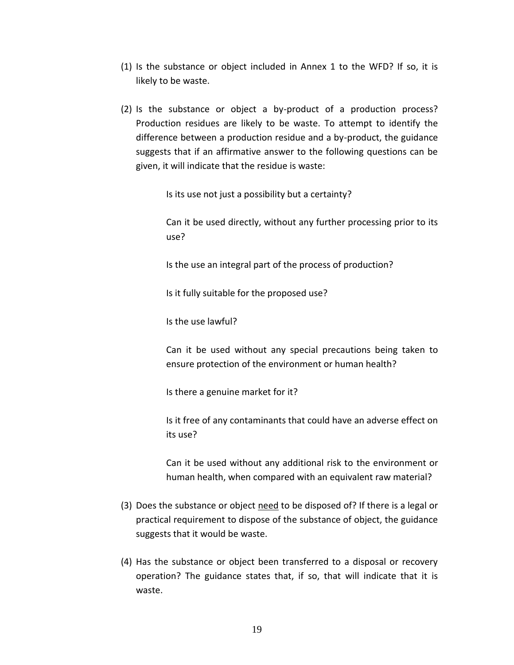- (1) Is the substance or object included in Annex 1 to the WFD? If so, it is likely to be waste.
- (2) Is the substance or object a by-product of a production process? Production residues are likely to be waste. To attempt to identify the difference between a production residue and a by-product, the guidance suggests that if an affirmative answer to the following questions can be given, it will indicate that the residue is waste:

Is its use not just a possibility but a certainty?

Can it be used directly, without any further processing prior to its use?

Is the use an integral part of the process of production?

Is it fully suitable for the proposed use?

Is the use lawful?

Can it be used without any special precautions being taken to ensure protection of the environment or human health?

Is there a genuine market for it?

Is it free of any contaminants that could have an adverse effect on its use?

Can it be used without any additional risk to the environment or human health, when compared with an equivalent raw material?

- (3) Does the substance or object need to be disposed of? If there is a legal or practical requirement to dispose of the substance of object, the guidance suggests that it would be waste.
- (4) Has the substance or object been transferred to a disposal or recovery operation? The guidance states that, if so, that will indicate that it is waste.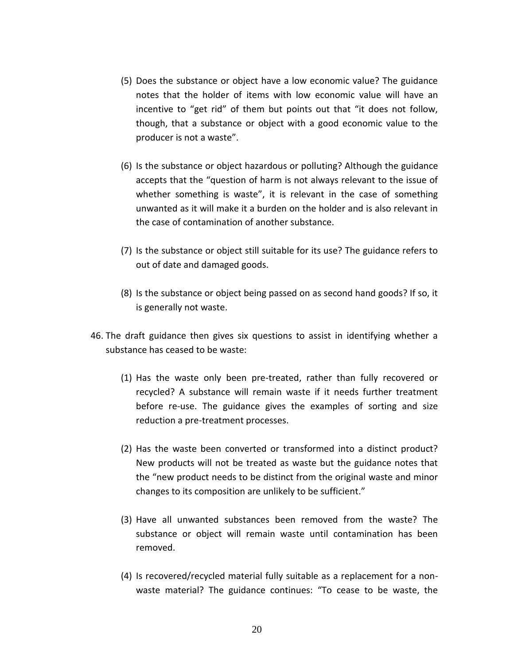- (5) Does the substance or object have a low economic value? The guidance notes that the holder of items with low economic value will have an incentive to "get rid" of them but points out that "it does not follow, though, that a substance or object with a good economic value to the producer is not a waste".
- (6) Is the substance or object hazardous or polluting? Although the guidance accepts that the "question of harm is not always relevant to the issue of whether something is waste", it is relevant in the case of something unwanted as it will make it a burden on the holder and is also relevant in the case of contamination of another substance.
- (7) Is the substance or object still suitable for its use? The guidance refers to out of date and damaged goods.
- (8) Is the substance or object being passed on as second hand goods? If so, it is generally not waste.
- 46. The draft guidance then gives six questions to assist in identifying whether a substance has ceased to be waste:
	- (1) Has the waste only been pre-treated, rather than fully recovered or recycled? A substance will remain waste if it needs further treatment before re-use. The guidance gives the examples of sorting and size reduction a pre-treatment processes.
	- (2) Has the waste been converted or transformed into a distinct product? New products will not be treated as waste but the guidance notes that the "new product needs to be distinct from the original waste and minor changes to its composition are unlikely to be sufficient."
	- (3) Have all unwanted substances been removed from the waste? The substance or object will remain waste until contamination has been removed.
	- (4) Is recovered/recycled material fully suitable as a replacement for a nonwaste material? The guidance continues: "To cease to be waste, the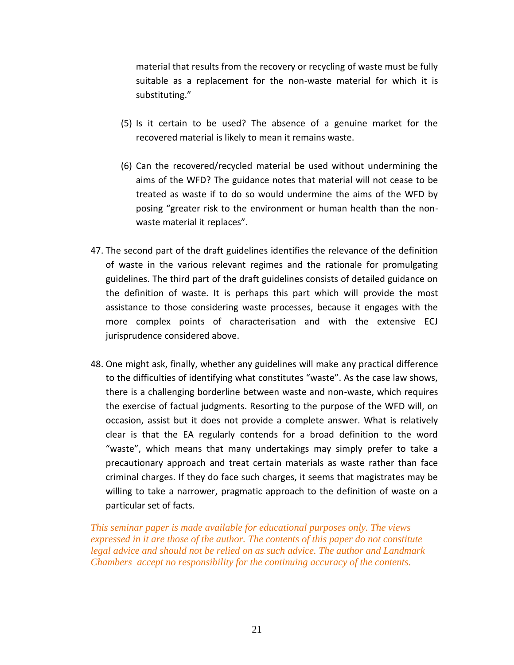material that results from the recovery or recycling of waste must be fully suitable as a replacement for the non-waste material for which it is substituting."

- (5) Is it certain to be used? The absence of a genuine market for the recovered material is likely to mean it remains waste.
- (6) Can the recovered/recycled material be used without undermining the aims of the WFD? The guidance notes that material will not cease to be treated as waste if to do so would undermine the aims of the WFD by posing "greater risk to the environment or human health than the nonwaste material it replaces".
- 47. The second part of the draft guidelines identifies the relevance of the definition of waste in the various relevant regimes and the rationale for promulgating guidelines. The third part of the draft guidelines consists of detailed guidance on the definition of waste. It is perhaps this part which will provide the most assistance to those considering waste processes, because it engages with the more complex points of characterisation and with the extensive ECJ jurisprudence considered above.
- 48. One might ask, finally, whether any guidelines will make any practical difference to the difficulties of identifying what constitutes "waste". As the case law shows, there is a challenging borderline between waste and non-waste, which requires the exercise of factual judgments. Resorting to the purpose of the WFD will, on occasion, assist but it does not provide a complete answer. What is relatively clear is that the EA regularly contends for a broad definition to the word "waste", which means that many undertakings may simply prefer to take a precautionary approach and treat certain materials as waste rather than face criminal charges. If they do face such charges, it seems that magistrates may be willing to take a narrower, pragmatic approach to the definition of waste on a particular set of facts.

*This seminar paper is made available for educational purposes only. The views expressed in it are those of the author. The contents of this paper do not constitute legal advice and should not be relied on as such advice. The author and Landmark Chambers accept no responsibility for the continuing accuracy of the contents.*